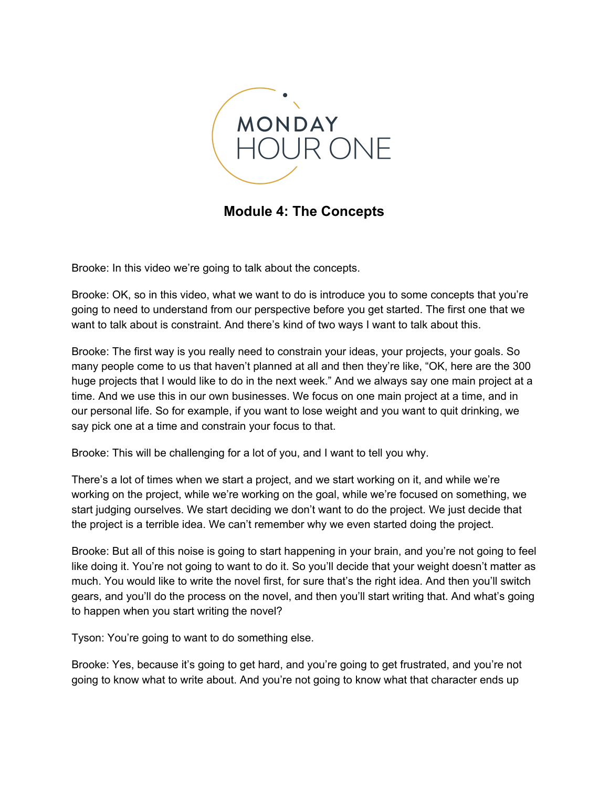

**Module 4: The Concepts**

Brooke: In this video we're going to talk about the concepts.

Brooke: OK, so in this video, what we want to do is introduce you to some concepts that you're going to need to understand from our perspective before you get started. The first one that we want to talk about is constraint. And there's kind of two ways I want to talk about this.

Brooke: The first way is you really need to constrain your ideas, your projects, your goals. So many people come to us that haven't planned at all and then they're like, "OK, here are the 300 huge projects that I would like to do in the next week." And we always say one main project at a time. And we use this in our own businesses. We focus on one main project at a time, and in our personal life. So for example, if you want to lose weight and you want to quit drinking, we say pick one at a time and constrain your focus to that.

Brooke: This will be challenging for a lot of you, and I want to tell you why.

There's a lot of times when we start a project, and we start working on it, and while we're working on the project, while we're working on the goal, while we're focused on something, we start judging ourselves. We start deciding we don't want to do the project. We just decide that the project is a terrible idea. We can't remember why we even started doing the project.

Brooke: But all of this noise is going to start happening in your brain, and you're not going to feel like doing it. You're not going to want to do it. So you'll decide that your weight doesn't matter as much. You would like to write the novel first, for sure that's the right idea. And then you'll switch gears, and you'll do the process on the novel, and then you'll start writing that. And what's going to happen when you start writing the novel?

Tyson: You're going to want to do something else.

Brooke: Yes, because it's going to get hard, and you're going to get frustrated, and you're not going to know what to write about. And you're not going to know what that character ends up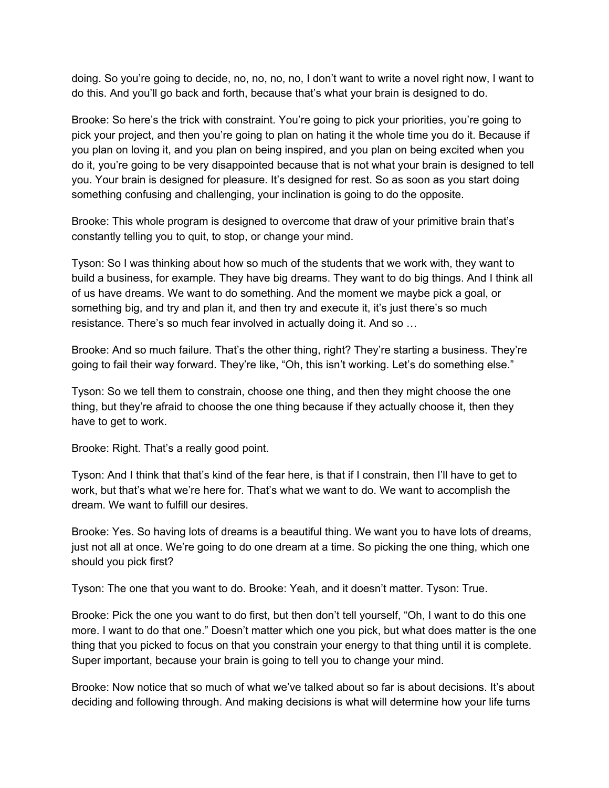doing. So you're going to decide, no, no, no, no, I don't want to write a novel right now, I want to do this. And you'll go back and forth, because that's what your brain is designed to do.

Brooke: So here's the trick with constraint. You're going to pick your priorities, you're going to pick your project, and then you're going to plan on hating it the whole time you do it. Because if you plan on loving it, and you plan on being inspired, and you plan on being excited when you do it, you're going to be very disappointed because that is not what your brain is designed to tell you. Your brain is designed for pleasure. It's designed for rest. So as soon as you start doing something confusing and challenging, your inclination is going to do the opposite.

Brooke: This whole program is designed to overcome that draw of your primitive brain that's constantly telling you to quit, to stop, or change your mind.

Tyson: So I was thinking about how so much of the students that we work with, they want to build a business, for example. They have big dreams. They want to do big things. And I think all of us have dreams. We want to do something. And the moment we maybe pick a goal, or something big, and try and plan it, and then try and execute it, it's just there's so much resistance. There's so much fear involved in actually doing it. And so …

Brooke: And so much failure. That's the other thing, right? They're starting a business. They're going to fail their way forward. They're like, "Oh, this isn't working. Let's do something else."

Tyson: So we tell them to constrain, choose one thing, and then they might choose the one thing, but they're afraid to choose the one thing because if they actually choose it, then they have to get to work.

Brooke: Right. That's a really good point.

Tyson: And I think that that's kind of the fear here, is that if I constrain, then I'll have to get to work, but that's what we're here for. That's what we want to do. We want to accomplish the dream. We want to fulfill our desires.

Brooke: Yes. So having lots of dreams is a beautiful thing. We want you to have lots of dreams, just not all at once. We're going to do one dream at a time. So picking the one thing, which one should you pick first?

Tyson: The one that you want to do. Brooke: Yeah, and it doesn't matter. Tyson: True.

Brooke: Pick the one you want to do first, but then don't tell yourself, "Oh, I want to do this one more. I want to do that one." Doesn't matter which one you pick, but what does matter is the one thing that you picked to focus on that you constrain your energy to that thing until it is complete. Super important, because your brain is going to tell you to change your mind.

Brooke: Now notice that so much of what we've talked about so far is about decisions. It's about deciding and following through. And making decisions is what will determine how your life turns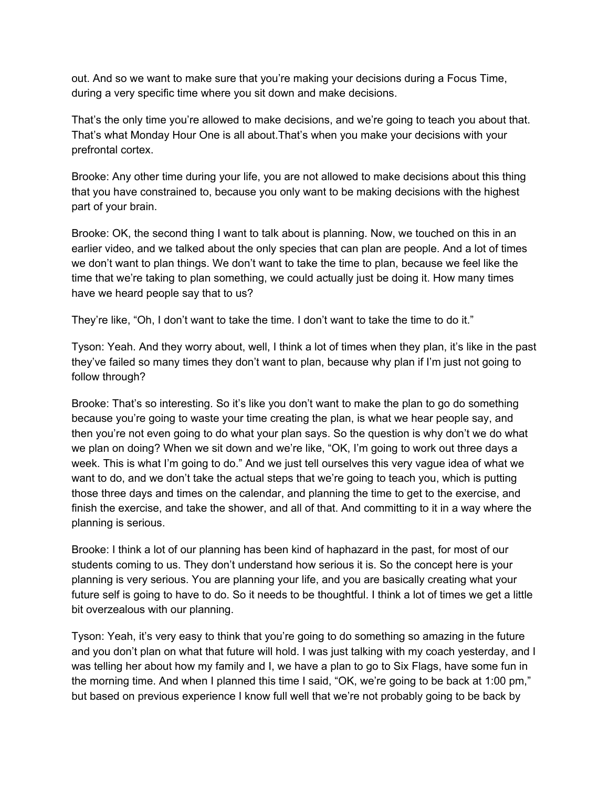out. And so we want to make sure that you're making your decisions during a Focus Time, during a very specific time where you sit down and make decisions.

That's the only time you're allowed to make decisions, and we're going to teach you about that. That's what Monday Hour One is all about.That's when you make your decisions with your prefrontal cortex.

Brooke: Any other time during your life, you are not allowed to make decisions about this thing that you have constrained to, because you only want to be making decisions with the highest part of your brain.

Brooke: OK, the second thing I want to talk about is planning. Now, we touched on this in an earlier video, and we talked about the only species that can plan are people. And a lot of times we don't want to plan things. We don't want to take the time to plan, because we feel like the time that we're taking to plan something, we could actually just be doing it. How many times have we heard people say that to us?

They're like, "Oh, I don't want to take the time. I don't want to take the time to do it."

Tyson: Yeah. And they worry about, well, I think a lot of times when they plan, it's like in the past they've failed so many times they don't want to plan, because why plan if I'm just not going to follow through?

Brooke: That's so interesting. So it's like you don't want to make the plan to go do something because you're going to waste your time creating the plan, is what we hear people say, and then you're not even going to do what your plan says. So the question is why don't we do what we plan on doing? When we sit down and we're like, "OK, I'm going to work out three days a week. This is what I'm going to do." And we just tell ourselves this very vague idea of what we want to do, and we don't take the actual steps that we're going to teach you, which is putting those three days and times on the calendar, and planning the time to get to the exercise, and finish the exercise, and take the shower, and all of that. And committing to it in a way where the planning is serious.

Brooke: I think a lot of our planning has been kind of haphazard in the past, for most of our students coming to us. They don't understand how serious it is. So the concept here is your planning is very serious. You are planning your life, and you are basically creating what your future self is going to have to do. So it needs to be thoughtful. I think a lot of times we get a little bit overzealous with our planning.

Tyson: Yeah, it's very easy to think that you're going to do something so amazing in the future and you don't plan on what that future will hold. I was just talking with my coach yesterday, and I was telling her about how my family and I, we have a plan to go to Six Flags, have some fun in the morning time. And when I planned this time I said, "OK, we're going to be back at 1:00 pm," but based on previous experience I know full well that we're not probably going to be back by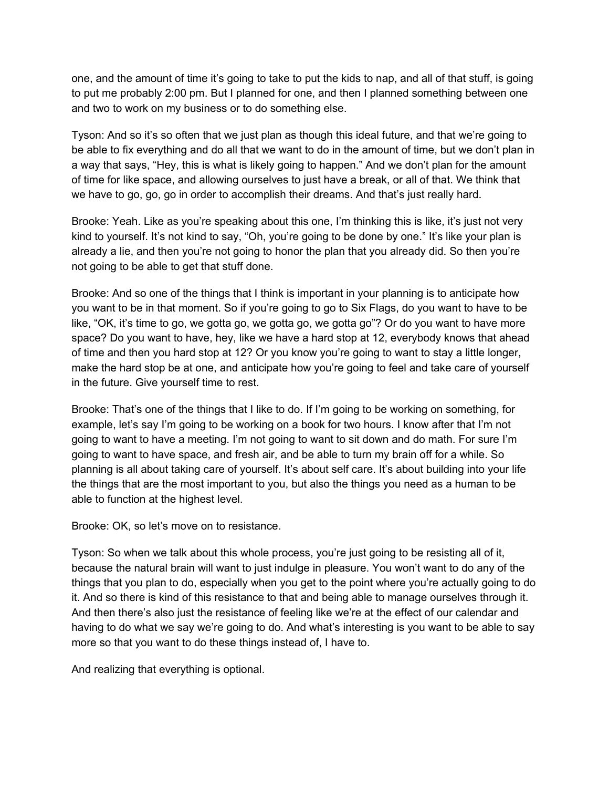one, and the amount of time it's going to take to put the kids to nap, and all of that stuff, is going to put me probably 2:00 pm. But I planned for one, and then I planned something between one and two to work on my business or to do something else.

Tyson: And so it's so often that we just plan as though this ideal future, and that we're going to be able to fix everything and do all that we want to do in the amount of time, but we don't plan in a way that says, "Hey, this is what is likely going to happen." And we don't plan for the amount of time for like space, and allowing ourselves to just have a break, or all of that. We think that we have to go, go, go in order to accomplish their dreams. And that's just really hard.

Brooke: Yeah. Like as you're speaking about this one, I'm thinking this is like, it's just not very kind to yourself. It's not kind to say, "Oh, you're going to be done by one." It's like your plan is already a lie, and then you're not going to honor the plan that you already did. So then you're not going to be able to get that stuff done.

Brooke: And so one of the things that I think is important in your planning is to anticipate how you want to be in that moment. So if you're going to go to Six Flags, do you want to have to be like, "OK, it's time to go, we gotta go, we gotta go, we gotta go"? Or do you want to have more space? Do you want to have, hey, like we have a hard stop at 12, everybody knows that ahead of time and then you hard stop at 12? Or you know you're going to want to stay a little longer, make the hard stop be at one, and anticipate how you're going to feel and take care of yourself in the future. Give yourself time to rest.

Brooke: That's one of the things that I like to do. If I'm going to be working on something, for example, let's say I'm going to be working on a book for two hours. I know after that I'm not going to want to have a meeting. I'm not going to want to sit down and do math. For sure I'm going to want to have space, and fresh air, and be able to turn my brain off for a while. So planning is all about taking care of yourself. It's about self care. It's about building into your life the things that are the most important to you, but also the things you need as a human to be able to function at the highest level.

Brooke: OK, so let's move on to resistance.

Tyson: So when we talk about this whole process, you're just going to be resisting all of it, because the natural brain will want to just indulge in pleasure. You won't want to do any of the things that you plan to do, especially when you get to the point where you're actually going to do it. And so there is kind of this resistance to that and being able to manage ourselves through it. And then there's also just the resistance of feeling like we're at the effect of our calendar and having to do what we say we're going to do. And what's interesting is you want to be able to say more so that you want to do these things instead of, I have to.

And realizing that everything is optional.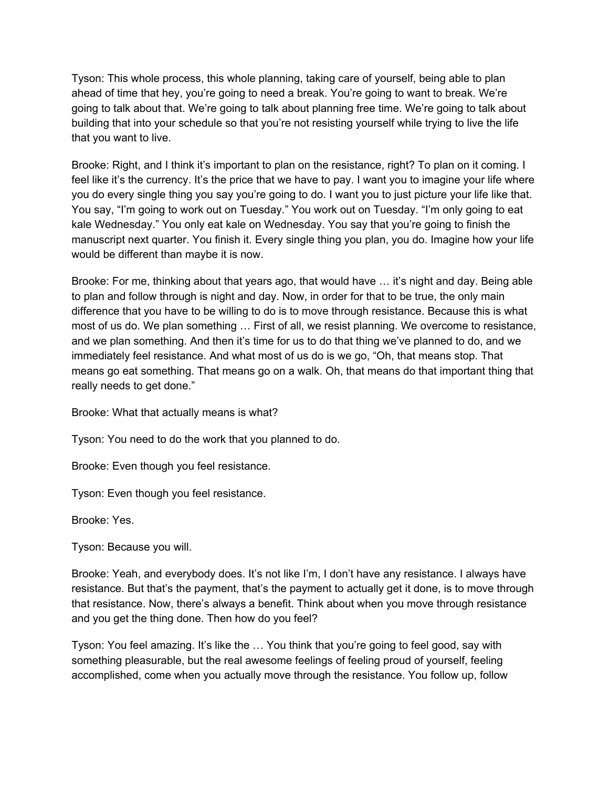Tyson: This whole process, this whole planning, taking care of yourself, being able to plan ahead of time that hey, you're going to need a break. You're going to want to break. We're going to talk about that. We're going to talk about planning free time. We're going to talk about building that into your schedule so that you're not resisting yourself while trying to live the life that you want to live.

Brooke: Right, and I think it's important to plan on the resistance, right? To plan on it coming. I feel like it's the currency. It's the price that we have to pay. I want you to imagine your life where you do every single thing you say you're going to do. I want you to just picture your life like that. You say, "I'm going to work out on Tuesday." You work out on Tuesday. "I'm only going to eat kale Wednesday." You only eat kale on Wednesday. You say that you're going to finish the manuscript next quarter. You finish it. Every single thing you plan, you do. Imagine how your life would be different than maybe it is now.

Brooke: For me, thinking about that years ago, that would have … it's night and day. Being able to plan and follow through is night and day. Now, in order for that to be true, the only main difference that you have to be willing to do is to move through resistance. Because this is what most of us do. We plan something … First of all, we resist planning. We overcome to resistance, and we plan something. And then it's time for us to do that thing we've planned to do, and we immediately feel resistance. And what most of us do is we go, "Oh, that means stop. That means go eat something. That means go on a walk. Oh, that means do that important thing that really needs to get done."

Brooke: What that actually means is what?

Tyson: You need to do the work that you planned to do.

Brooke: Even though you feel resistance.

Tyson: Even though you feel resistance.

Brooke: Yes.

Tyson: Because you will.

Brooke: Yeah, and everybody does. It's not like I'm, I don't have any resistance. I always have resistance. But that's the payment, that's the payment to actually get it done, is to move through that resistance. Now, there's always a benefit. Think about when you move through resistance and you get the thing done. Then how do you feel?

Tyson: You feel amazing. It's like the … You think that you're going to feel good, say with something pleasurable, but the real awesome feelings of feeling proud of yourself, feeling accomplished, come when you actually move through the resistance. You follow up, follow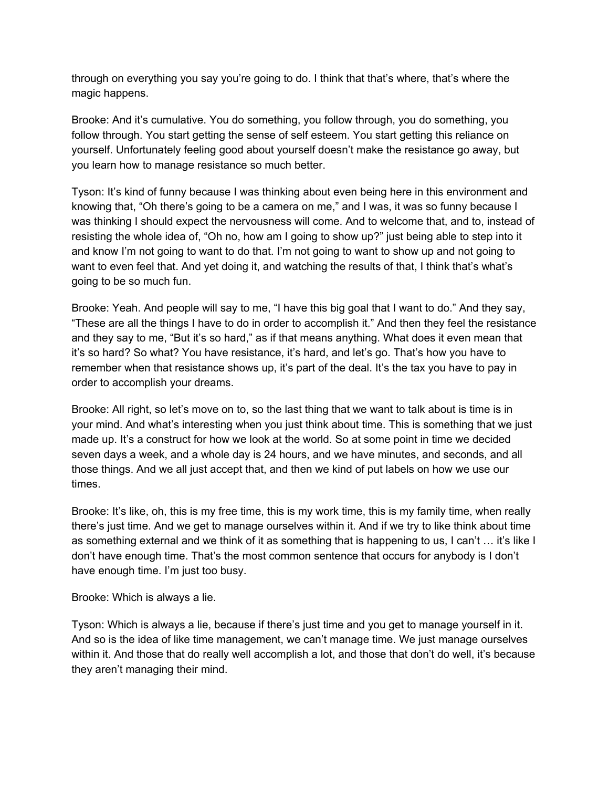through on everything you say you're going to do. I think that that's where, that's where the magic happens.

Brooke: And it's cumulative. You do something, you follow through, you do something, you follow through. You start getting the sense of self esteem. You start getting this reliance on yourself. Unfortunately feeling good about yourself doesn't make the resistance go away, but you learn how to manage resistance so much better.

Tyson: It's kind of funny because I was thinking about even being here in this environment and knowing that, "Oh there's going to be a camera on me," and I was, it was so funny because I was thinking I should expect the nervousness will come. And to welcome that, and to, instead of resisting the whole idea of, "Oh no, how am I going to show up?" just being able to step into it and know I'm not going to want to do that. I'm not going to want to show up and not going to want to even feel that. And yet doing it, and watching the results of that, I think that's what's going to be so much fun.

Brooke: Yeah. And people will say to me, "I have this big goal that I want to do." And they say, "These are all the things I have to do in order to accomplish it." And then they feel the resistance and they say to me, "But it's so hard," as if that means anything. What does it even mean that it's so hard? So what? You have resistance, it's hard, and let's go. That's how you have to remember when that resistance shows up, it's part of the deal. It's the tax you have to pay in order to accomplish your dreams.

Brooke: All right, so let's move on to, so the last thing that we want to talk about is time is in your mind. And what's interesting when you just think about time. This is something that we just made up. It's a construct for how we look at the world. So at some point in time we decided seven days a week, and a whole day is 24 hours, and we have minutes, and seconds, and all those things. And we all just accept that, and then we kind of put labels on how we use our times.

Brooke: It's like, oh, this is my free time, this is my work time, this is my family time, when really there's just time. And we get to manage ourselves within it. And if we try to like think about time as something external and we think of it as something that is happening to us, I can't … it's like I don't have enough time. That's the most common sentence that occurs for anybody is I don't have enough time. I'm just too busy.

## Brooke: Which is always a lie.

Tyson: Which is always a lie, because if there's just time and you get to manage yourself in it. And so is the idea of like time management, we can't manage time. We just manage ourselves within it. And those that do really well accomplish a lot, and those that don't do well, it's because they aren't managing their mind.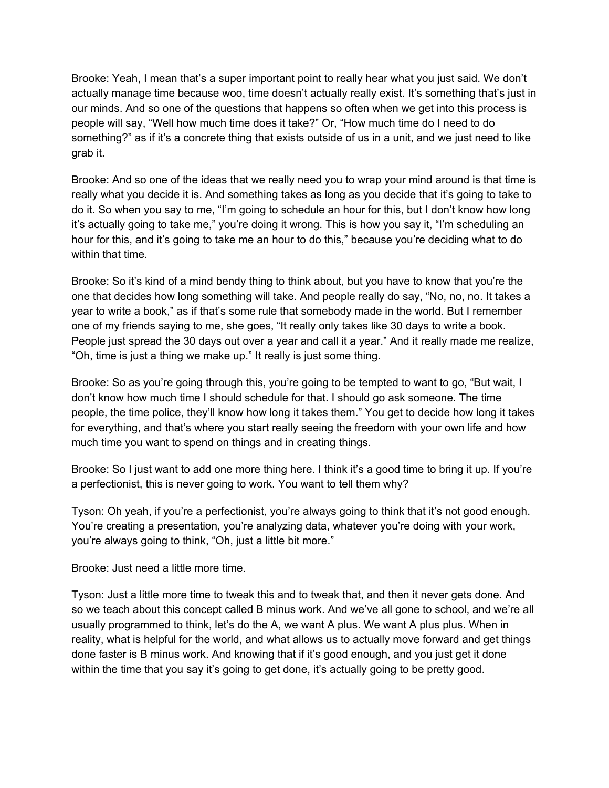Brooke: Yeah, I mean that's a super important point to really hear what you just said. We don't actually manage time because woo, time doesn't actually really exist. It's something that's just in our minds. And so one of the questions that happens so often when we get into this process is people will say, "Well how much time does it take?" Or, "How much time do I need to do something?" as if it's a concrete thing that exists outside of us in a unit, and we just need to like grab it.

Brooke: And so one of the ideas that we really need you to wrap your mind around is that time is really what you decide it is. And something takes as long as you decide that it's going to take to do it. So when you say to me, "I'm going to schedule an hour for this, but I don't know how long it's actually going to take me," you're doing it wrong. This is how you say it, "I'm scheduling an hour for this, and it's going to take me an hour to do this," because you're deciding what to do within that time.

Brooke: So it's kind of a mind bendy thing to think about, but you have to know that you're the one that decides how long something will take. And people really do say, "No, no, no. It takes a year to write a book," as if that's some rule that somebody made in the world. But I remember one of my friends saying to me, she goes, "It really only takes like 30 days to write a book. People just spread the 30 days out over a year and call it a year." And it really made me realize, "Oh, time is just a thing we make up." It really is just some thing.

Brooke: So as you're going through this, you're going to be tempted to want to go, "But wait, I don't know how much time I should schedule for that. I should go ask someone. The time people, the time police, they'll know how long it takes them." You get to decide how long it takes for everything, and that's where you start really seeing the freedom with your own life and how much time you want to spend on things and in creating things.

Brooke: So I just want to add one more thing here. I think it's a good time to bring it up. If you're a perfectionist, this is never going to work. You want to tell them why?

Tyson: Oh yeah, if you're a perfectionist, you're always going to think that it's not good enough. You're creating a presentation, you're analyzing data, whatever you're doing with your work, you're always going to think, "Oh, just a little bit more."

Brooke: Just need a little more time.

Tyson: Just a little more time to tweak this and to tweak that, and then it never gets done. And so we teach about this concept called B minus work. And we've all gone to school, and we're all usually programmed to think, let's do the A, we want A plus. We want A plus plus. When in reality, what is helpful for the world, and what allows us to actually move forward and get things done faster is B minus work. And knowing that if it's good enough, and you just get it done within the time that you say it's going to get done, it's actually going to be pretty good.